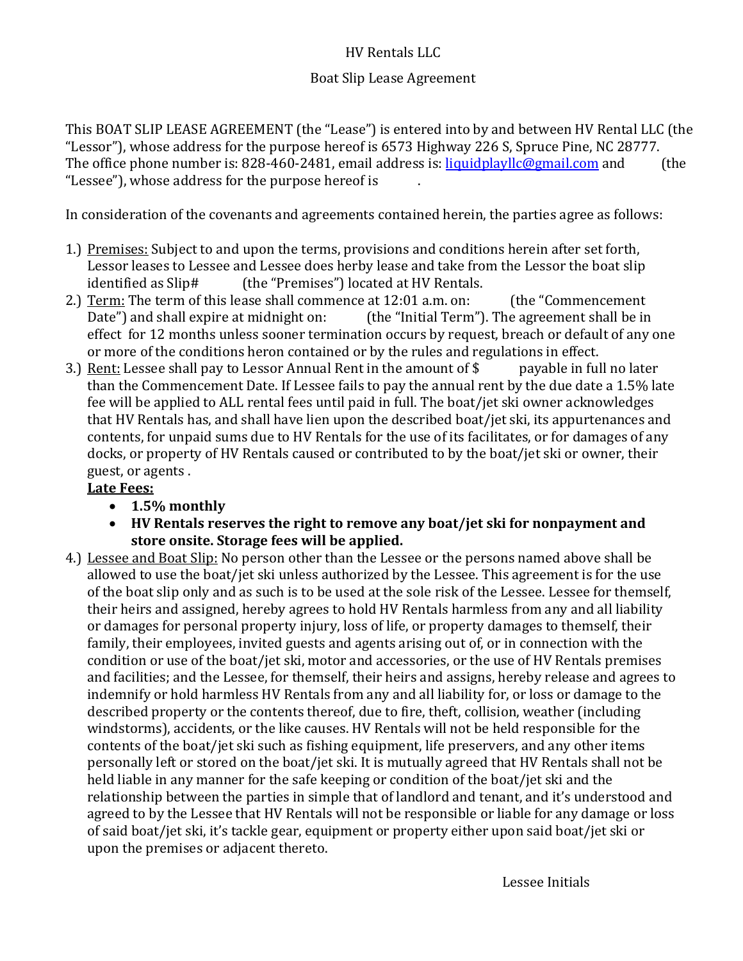### HV Rentals LLC

#### Boat Slip Lease Agreement

This BOAT SLIP LEASE AGREEMENT (the "Lease") is entered into by and between HV Rental LLC (the "Lessor"), whose address for the purpose hereof is 6573 Highway 226 S, Spruce Pine, NC 28777.<br>The office phone number is: 828-460-2481, email address is: <u>liquidplayllc@gmail.com</u> and [the The office phone number is: 828-460-2481, email address is:  $liquidplayllc@gmail.com$  and "Lessee"), whose address for the purpose hereof is .

In consideration of the covenants and agreements contained herein, the parties agree as follows:

- 1.) Premises: Subject to and upon the terms, provisions and conditions herein after set forth, Lessor leases to Lessee and Lessee does herby lease and take from the Lessor the boat slip identified as Slip# (the "Premises") located at HV Rentals. (the "Premises") located at HV Rentals.
- 2.) Term: The term of this lease shall commence at 12:01 a.m. on: (the "Commencement Date") and shall expire at midnight on: (the "Initial Term"). The agreement shall be in (the "Initial Term"). The agreement shall be in effect for 12 months unless sooner termination occurs by request, breach or default of any one or more of the conditions heron contained or by the rules and regulations in effect.<br>Rent: Lessee shall pay to Lessor Annual Rent in the amount of \$ payable in full no later
- 3.) Rent: Lessee shall pay to Lessor Annual Rent in the amount of  $$$ than the Commencement Date. If Lessee fails to pay the annual rent by the due date a 1.5% late fee will be applied to ALL rental fees until paid in full. The boat/jet ski owner acknowledges that HV Rentals has, and shall have lien upon the described boat/jet ski, its appurtenances and contents, for unpaid sums due to HV Rentals for the use of its facilitates, or for damages of any docks, or property of HV Rentals caused or contributed to by the boat/jet ski or owner, their guest, or agents .

#### **Late Fees:**

- **1.5% monthly**
- **HV Rentals reserves the right to remove any boat/jet ski for nonpayment and store onsite. Storage fees will be applied.**
- 4.) Lessee and Boat Slip: No person other than the Lessee or the persons named above shall be allowed to use the boat/jet ski unless authorized by the Lessee. This agreement is for the use of the boat slip only and as such is to be used at the sole risk of the Lessee. Lessee for themself, their heirs and assigned, hereby agrees to hold HV Rentals harmless from any and all liability or damages for personal property injury, loss of life, or property damages to themself, their family, their employees, invited guests and agents arising out of, or in connection with the condition or use of the boat/jet ski, motor and accessories, or the use of HV Rentals premises and facilities; and the Lessee, for themself, their heirs and assigns, hereby release and agrees to indemnify or hold harmless HV Rentals from any and all liability for, or loss or damage to the described property or the contents thereof, due to fire, theft, collision, weather (including windstorms), accidents, or the like causes. HV Rentals will not be held responsible for the contents of the boat/jet ski such as fishing equipment, life preservers, and any other items personally left or stored on the boat/jet ski. It is mutually agreed that HV Rentals shall not be held liable in any manner for the safe keeping or condition of the boat/jet ski and the relationship between the parties in simple that of landlord and tenant, and it's understood and agreed to by the Lessee that HV Rentals will not be responsible or liable for any damage or loss of said boat/jet ski, it's tackle gear, equipment or property either upon said boat/jet ski or upon the premises or adjacent thereto.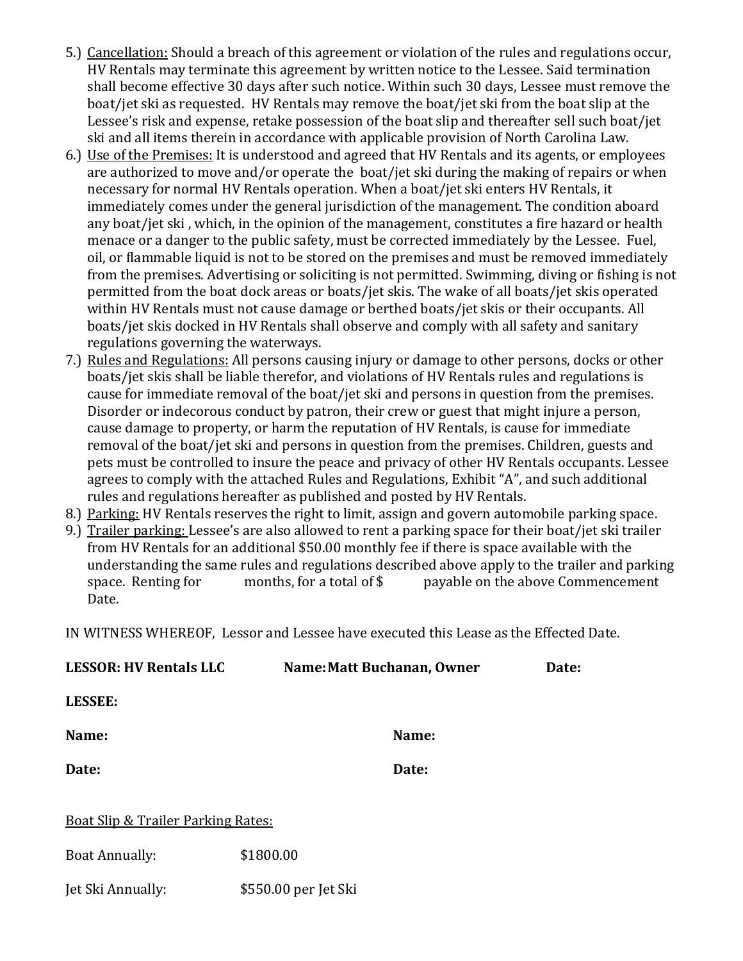- 5.) Cancellation: Should a breach of this agreement or violation of the rules and regulations occur, HV Rentals may terminate this agreement by written notice to the Lessee. Said termination shall become effective 30 days after such notice. Within such 30 days, Lessee must remove the boat/jet ski as requested. HV Rentals may remove the boat/jet ski from the boat slip at the Lessee's risk and expense, retake possession of the boat slip and thereafter sell such boat/jet ski and all items therein in accordance with applicable provision of North Carolina Law.
- 6.) Use of the Premises: It is understood and agreed that HV Rentals and its agents, or employees are authorized to move and/or operate the boat/jet ski during the making of repairs or when necessary for normal HV Rentals operation. When a boat/jet ski enters HV Rentals, it immediately comes under the general jurisdiction of the management. The condition aboard any boat/jet ski , which, in the opinion of the management, constitutes a fire hazard or health menace or a danger to the public safety, must be corrected immediately by the Lessee. Fuel, oil, or flammable liquid is not to be stored on the premises and must be removed immediately from the premises. Advertising or soliciting is not permitted. Swimming, diving or fishing is not permitted from the boat dock areas or boats/jet skis. The wake of all boats/jet skis operated within HV Rentals must not cause damage or berthed boats/jet skis or their occupants. All boats/jet skis docked in HV Rentals shall observe and comply with all safety and sanitary regulations governing the waterways.
- 7.) Rules and Regulations: All persons causing injury or damage to other persons, docks or other boats/jet skis shall be liable therefor, and violations of HV Rentals rules and regulations is cause for immediate removal of the boat/jet ski and persons in question from the premises. Disorder or indecorous conduct by patron, their crew or guest that might injure a person, cause damage to property, or harm the reputation of HV Rentals, is cause for immediate removal of the boat/jet ski and persons in question from the premises. Children, guests and pets must be controlled to insure the peace and privacy of other HV Rentals occupants. Lessee agrees to comply with the attached Rules and Regulations, Exhibit "A", and such additional rules and regulations hereafter as published and posted by HV Rentals.
- 8.) Parking: HV Rentals reserves the right to limit, assign and govern automobile parking space.
- 9.) Trailer parking: Lessee's are also allowed to rent a parking space for their boat/jet ski trailer from HV Rentals for an additional \$50.00 monthly fee if there is space available with the understanding the same rules and regulations described above apply to the trailer and parking<br>space. Renting for months, for a total of \$ payable on the above Commencement payable on the above Commencement Date.

IN WITNESS WHEREOF, Lessor and Lessee have executed this Lease as the Effected Date.

| <b>LESSOR: HV Rentals LLC</b>                 | Name: Matt Buchanan, Owner | Date: |
|-----------------------------------------------|----------------------------|-------|
| <b>LESSEE:</b>                                |                            |       |
| Name:                                         | Name:                      |       |
| Date:                                         | Date:                      |       |
| <b>Boat Slip &amp; Trailer Parking Rates:</b> |                            |       |
| <b>Boat Annually:</b>                         | \$1800.00                  |       |
| Jet Ski Annually:                             | \$550.00 per Jet Ski       |       |